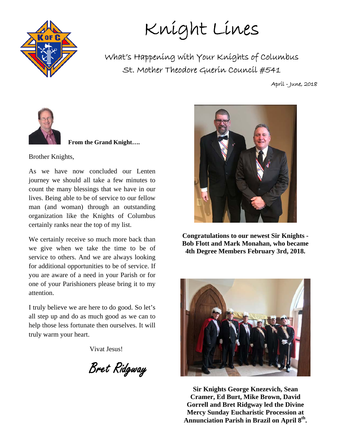

Knight Lines

What's Happening with Your Knights of Columbus St. Mother Theodore Guerin Council #541

April - June, 2018



 **From the Grand Knight….** 

Brother Knights,

As we have now concluded our Lenten journey we should all take a few minutes to count the many blessings that we have in our lives. Being able to be of service to our fellow man (and woman) through an outstanding organization like the Knights of Columbus certainly ranks near the top of my list.

We certainly receive so much more back than we give when we take the time to be of service to others. And we are always looking for additional opportunities to be of service. If you are aware of a need in your Parish or for one of your Parishioners please bring it to my attention.

I truly believe we are here to do good. So let's all step up and do as much good as we can to help those less fortunate then ourselves. It will truly warm your heart.

Vivat Jesus!

Bret Ridgway



**Congratulations to our newest Sir Knights - Bob Flott and Mark Monahan, who became 4th Degree Members February 3rd, 2018.** 



**Sir Knights George Knezevich, Sean Cramer, Ed Burt, Mike Brown, David Gorrell and Bret Ridgway led the Divine Mercy Sunday Eucharistic Procession at Annunciation Parish in Brazil on April 8th.**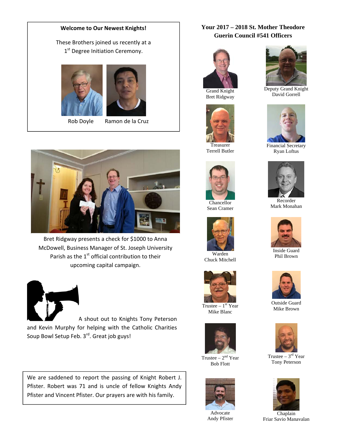#### **Welcome to Our Newest Knights!**

#### These Brothers joined us recently at a 1<sup>st</sup> Degree Initiation Ceremony.





Rob Doyle Ramon de la Cruz

Bret Ridgway presents a check for \$1000 to Anna McDowell, Business Manager of St. Joseph University Parish as the  $1<sup>st</sup>$  official contribution to their upcoming capital campaign.



A shout out to Knights Tony Peterson and Kevin Murphy for helping with the Catholic Charities Soup Bowl Setup Feb. 3rd. Great job guys!

We are saddened to report the passing of Knight Robert J. Pfister. Robert was 71 and is uncle of fellow Knights Andy Pfister and Vincent Pfister. Our prayers are with his family.

#### **Your 2017 – 2018 St. Mother Theodore Guerin Council #541 Officers**



Bret Ridgway



Treasurer Terrell Butler



Chancellor Sean Cramer



Chuck Mitchell



Trustee  $-1<sup>st</sup>$  Year Mike Blanc



Trustee –  $2<sup>nd</sup>$  Year Bob Flott



Advocate Andy Pfister



Deputy Grand Knight David Gorrell



Financial Secretary Ryan Loftus



Recorder Mark Monahan



Inside Guard Phil Brown



Outside Guard Mike Brown



Trustee –  $3<sup>rd</sup>$  Year Tony Peterson



Chaplain Friar Savio Manavalan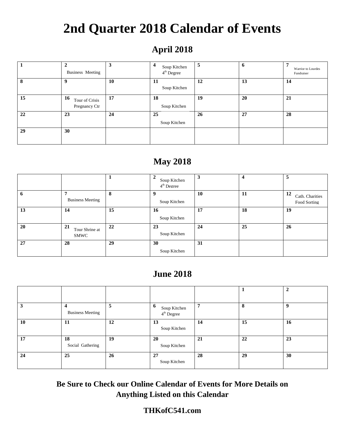# **2nd Quarter 2018 Calendar of Events**

## **April 2018**

|    | $\mathbf{2}$<br>Business Meeting      | 3  | 4<br>Soup Kitchen<br>$4th$ Degree | 5  | 6  | Warrior to Lourdes<br>Fundraiser |
|----|---------------------------------------|----|-----------------------------------|----|----|----------------------------------|
| 8  | 9                                     | 10 | 11<br>Soup Kitchen                | 12 | 13 | 14                               |
| 15 | 16<br>Tour of Crisis<br>Pregnancy Ctr | 17 | 18<br>Soup Kitchen                | 19 | 20 | 21                               |
| 22 | 23                                    | 24 | 25<br>Soup Kitchen                | 26 | 27 | 28                               |
| 29 | 30                                    |    |                                   |    |    |                                  |

## **May 2018**

|    |                              |    | Soup Kitchen<br>$4th$ Degree | 3  | $\overline{4}$ | 5                                     |
|----|------------------------------|----|------------------------------|----|----------------|---------------------------------------|
| o  | 7<br><b>Business Meeting</b> | 8  | Soup Kitchen                 | 10 | 11             | 12<br>Cath. Charities<br>Food Sorting |
| 13 | 14                           | 15 | 16<br>Soup Kitchen           | 17 | 18             | 19                                    |
| 20 | 21<br>Tour Shrine at<br>SMWC | 22 | 23<br>Soup Kitchen           | 24 | 25             | 26                                    |
| 27 | 28                           | 29 | 30<br>Soup Kitchen           | 31 |                |                                       |

## **June 2018**

|    |                         |    |                                             |    |    | 2  |
|----|-------------------------|----|---------------------------------------------|----|----|----|
| 3  | <b>Business Meeting</b> | 5  | 6<br>Soup Kitchen<br>4 <sup>th</sup> Degree | 7  | 8  | -9 |
| 10 | 11                      | 12 | 13<br>Soup Kitchen                          | 14 | 15 | 16 |
| 17 | 18<br>Social Gathering  | 19 | 20<br>Soup Kitchen                          | 21 | 22 | 23 |
| 24 | 25                      | 26 | 27<br>Soup Kitchen                          | 28 | 29 | 30 |

**Be Sure to Check our Online Calendar of Events for More Details on Anything Listed on this Calendar** 

### **THKofC541.com**